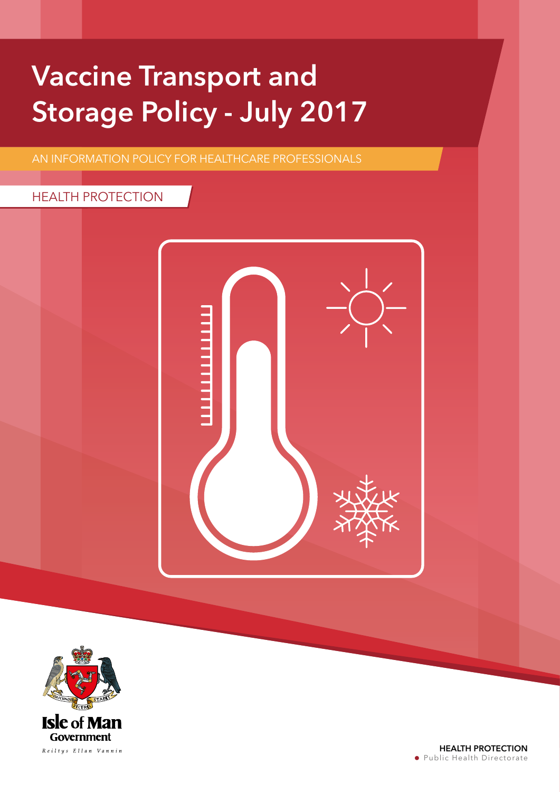## Vaccine Transport and Storage Policy - July 2017

AN INFORMATION POLICY FOR HEALTHCARE PROFESSIONALS

## HEALTH PROTECTION



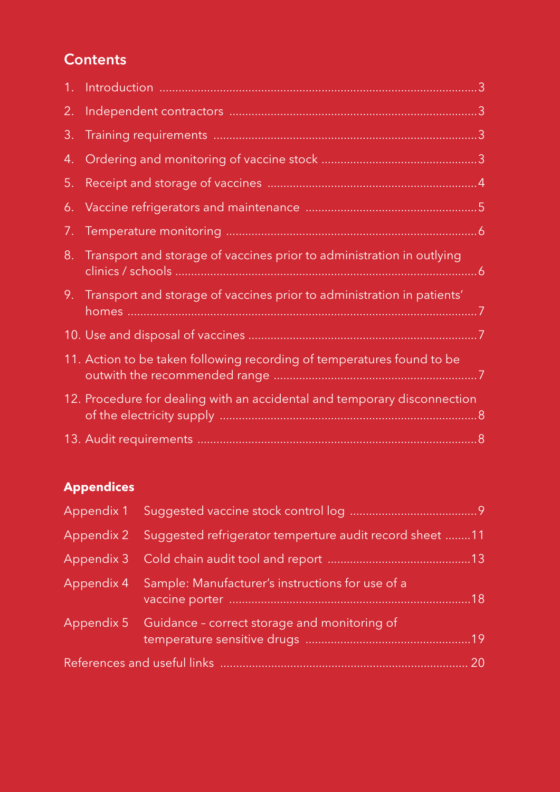## **Contents**

| 2. |                                                                           |  |
|----|---------------------------------------------------------------------------|--|
| 3. |                                                                           |  |
| 4. |                                                                           |  |
| 5. |                                                                           |  |
|    |                                                                           |  |
| 7. |                                                                           |  |
| 8. | Transport and storage of vaccines prior to administration in outlying     |  |
|    | 9. Transport and storage of vaccines prior to administration in patients' |  |
|    |                                                                           |  |
|    | 11. Action to be taken following recording of temperatures found to be    |  |
|    | 12. Procedure for dealing with an accidental and temporary disconnection  |  |
|    |                                                                           |  |

## **Appendices**

| Appendix 2 Suggested refrigerator temperture audit record sheet 11 |     |
|--------------------------------------------------------------------|-----|
|                                                                    |     |
| Appendix 4 Sample: Manufacturer's instructions for use of a        | .18 |
| Appendix 5 Guidance - correct storage and monitoring of            |     |
|                                                                    | 20  |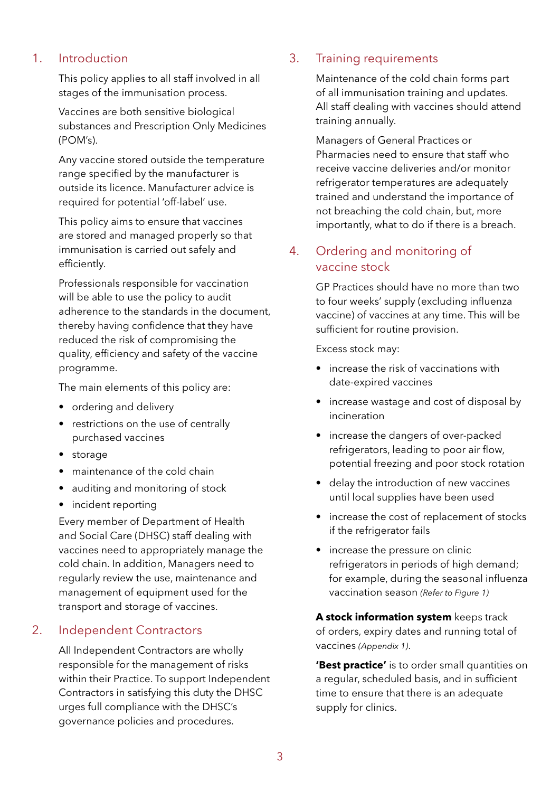## 1. Introduction

This policy applies to all staff involved in all stages of the immunisation process.

Vaccines are both sensitive biological substances and Prescription Only Medicines (POM's).

Any vaccine stored outside the temperature range specified by the manufacturer is outside its licence. Manufacturer advice is required for potential 'off-label' use.

This policy aims to ensure that vaccines are stored and managed properly so that immunisation is carried out safely and efficiently.

Professionals responsible for vaccination will be able to use the policy to audit adherence to the standards in the document, thereby having confidence that they have reduced the risk of compromising the quality, efficiency and safety of the vaccine programme.

The main elements of this policy are:

- ordering and delivery
- restrictions on the use of centrally purchased vaccines
- storage
- maintenance of the cold chain
- auditing and monitoring of stock
- incident reporting

Every member of Department of Health and Social Care (DHSC) staff dealing with vaccines need to appropriately manage the cold chain. In addition, Managers need to regularly review the use, maintenance and management of equipment used for the transport and storage of vaccines.

## 2. Independent Contractors

All Independent Contractors are wholly responsible for the management of risks within their Practice. To support Independent Contractors in satisfying this duty the DHSC urges full compliance with the DHSC's governance policies and procedures.

## 3. Training requirements

Maintenance of the cold chain forms part of all immunisation training and updates. All staff dealing with vaccines should attend training annually.

Managers of General Practices or Pharmacies need to ensure that staff who receive vaccine deliveries and/or monitor refrigerator temperatures are adequately trained and understand the importance of not breaching the cold chain, but, more importantly, what to do if there is a breach.

## 4. Ordering and monitoring of vaccine stock

GP Practices should have no more than two to four weeks' supply (excluding influenza vaccine) of vaccines at any time. This will be sufficient for routine provision.

Excess stock may:

- increase the risk of vaccinations with date-expired vaccines
- increase wastage and cost of disposal by incineration
- increase the dangers of over-packed refrigerators, leading to poor air flow, potential freezing and poor stock rotation
- delay the introduction of new vaccines until local supplies have been used
- increase the cost of replacement of stocks if the refrigerator fails
- increase the pressure on clinic refrigerators in periods of high demand; for example, during the seasonal influenza vaccination season *(Refer to Figure 1)*

**A stock information system** keeps track of orders, expiry dates and running total of vaccines *(Appendix 1)*.

**'Best practice'** is to order small quantities on a regular, scheduled basis, and in sufficient time to ensure that there is an adequate supply for clinics.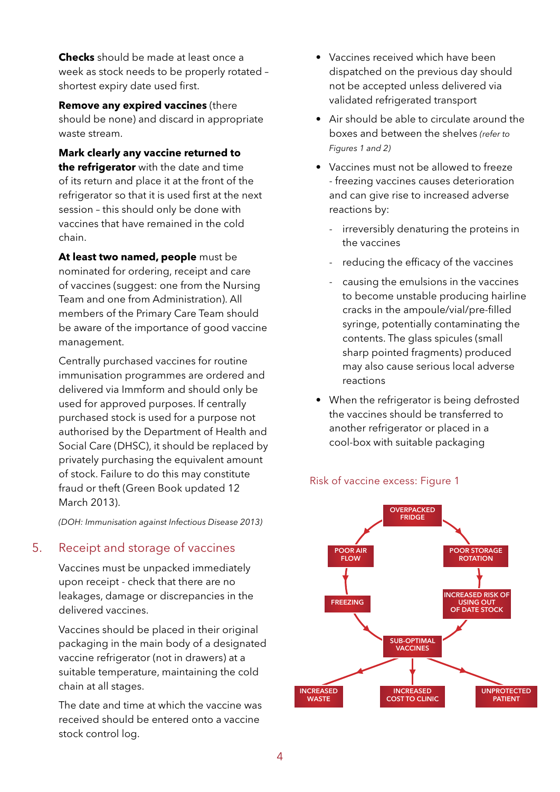**Checks** should be made at least once a week as stock needs to be properly rotated – shortest expiry date used first.

**Remove any expired vaccines** (there should be none) and discard in appropriate waste stream.

**Mark clearly any vaccine returned to the refrigerator** with the date and time of its return and place it at the front of the refrigerator so that it is used first at the next session – this should only be done with vaccines that have remained in the cold chain.

**At least two named, people** must be nominated for ordering, receipt and care of vaccines (suggest: one from the Nursing Team and one from Administration). All members of the Primary Care Team should be aware of the importance of good vaccine management.

Centrally purchased vaccines for routine immunisation programmes are ordered and delivered via Immform and should only be used for approved purposes. If centrally purchased stock is used for a purpose not authorised by the Department of Health and Social Care (DHSC), it should be replaced by privately purchasing the equivalent amount of stock. Failure to do this may constitute fraud or theft (Green Book updated 12 March 2013).

*(DOH: Immunisation against Infectious Disease 2013)*

## 5. Receipt and storage of vaccines

Vaccines must be unpacked immediately upon receipt - check that there are no leakages, damage or discrepancies in the delivered vaccines.

Vaccines should be placed in their original packaging in the main body of a designated vaccine refrigerator (not in drawers) at a suitable temperature, maintaining the cold chain at all stages.

The date and time at which the vaccine was received should be entered onto a vaccine stock control log.

- Vaccines received which have been dispatched on the previous day should not be accepted unless delivered via validated refrigerated transport
- Air should be able to circulate around the boxes and between the shelves *(refer to Figures 1 and 2)*
- Vaccines must not be allowed to freeze - freezing vaccines causes deterioration and can give rise to increased adverse reactions by:
	- irreversibly denaturing the proteins in the vaccines
	- reducing the efficacy of the vaccines
	- causing the emulsions in the vaccines to become unstable producing hairline cracks in the ampoule/vial/pre-filled syringe, potentially contaminating the contents. The glass spicules (small sharp pointed fragments) produced may also cause serious local adverse reactions
- When the refrigerator is being defrosted the vaccines should be transferred to another refrigerator or placed in a cool-box with suitable packaging



### Risk of vaccine excess: Figure 1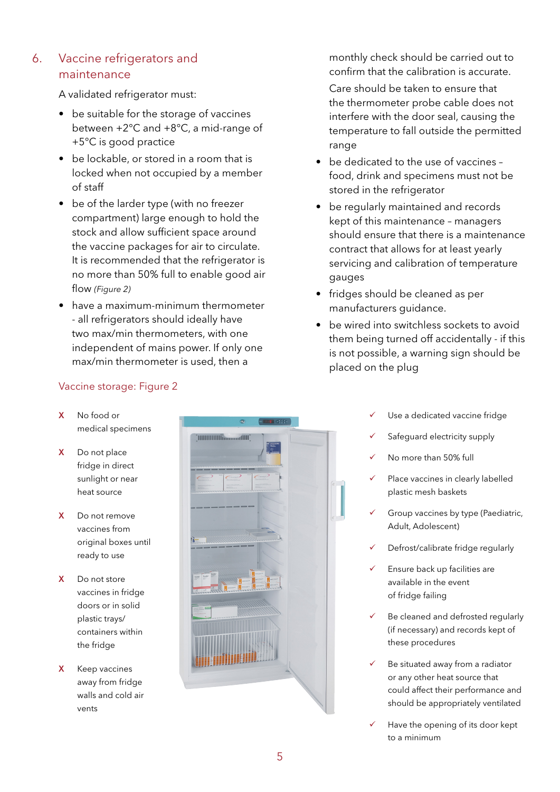## 6. Vaccine refrigerators and maintenance

A validated refrigerator must:

- be suitable for the storage of vaccines between +2°C and +8°C, a mid-range of +5°C is good practice
- be lockable, or stored in a room that is locked when not occupied by a member of staff
- be of the larder type (with no freezer compartment) large enough to hold the stock and allow sufficient space around the vaccine packages for air to circulate. It is recommended that the refrigerator is no more than 50% full to enable good air flow *(Figure 2)*
- have a maximum-minimum thermometer - all refrigerators should ideally have two max/min thermometers, with one independent of mains power. If only one max/min thermometer is used, then a

## Vaccine storage: Figure 2

- X No food or medical specimens
- X Do not place fridge in direct sunlight or near heat source
- X Do not remove vaccines from original boxes until ready to use
- X Do not store vaccines in fridge doors or in solid plastic trays/ containers within the fridge
- X Keep vaccines away from fridge walls and cold air vents



monthly check should be carried out to confirm that the calibration is accurate.

Care should be taken to ensure that the thermometer probe cable does not interfere with the door seal, causing the temperature to fall outside the permitted range

- be dedicated to the use of vaccines food, drink and specimens must not be stored in the refrigerator
- be regularly maintained and records kept of this maintenance – managers should ensure that there is a maintenance contract that allows for at least yearly servicing and calibration of temperature gauges
- fridges should be cleaned as per manufacturers guidance.
- be wired into switchless sockets to avoid them being turned off accidentally - if this is not possible, a warning sign should be placed on the plug
	- Use a dedicated vaccine fridge
	- Safeguard electricity supply
	- No more than 50% full
	- Place vaccines in clearly labelled plastic mesh baskets
	- Group vaccines by type (Paediatric, Adult, Adolescent)
	- Defrost/calibrate fridge regularly
	- Ensure back up facilities are available in the event of fridge failing
	- Be cleaned and defrosted regularly (if necessary) and records kept of these procedures
	- Be situated away from a radiator or any other heat source that could affect their performance and should be appropriately ventilated
	- Have the opening of its door kept to a minimum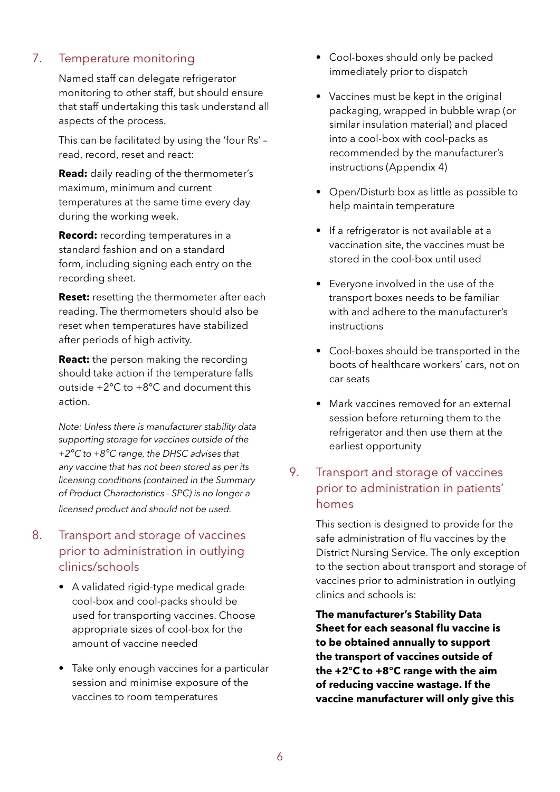## 7. Temperature monitoring

Named staff can delegate refrigerator monitoring to other staff, but should ensure that staff undertaking this task understand all aspects of the process.

This can be facilitated by using the 'four Rs' – read, record, reset and react:

**Read:** daily reading of the thermometer's maximum, minimum and current temperatures at the same time every day during the working week.

**Record:** recording temperatures in a standard fashion and on a standard form, including signing each entry on the recording sheet.

**Reset:** resetting the thermometer after each reading. The thermometers should also be reset when temperatures have stabilized after periods of high activity.

**React:** the person making the recording should take action if the temperature falls outside +2°C to +8°C and document this action.

*Note: Unless there is manufacturer stability data supporting storage for vaccines outside of the +2°C to +8°C range, the DHSC advises that any vaccine that has not been stored as per its licensing conditions (contained in the Summary of Product Characteristics - SPC) is no longer a licensed product and should not be used.* 

## 8. Transport and storage of vaccines prior to administration in outlying clinics/schools

- A validated rigid-type medical grade cool-box and cool-packs should be used for transporting vaccines. Choose appropriate sizes of cool-box for the amount of vaccine needed
- Take only enough vaccines for a particular session and minimise exposure of the vaccines to room temperatures
- Cool-boxes should only be packed immediately prior to dispatch
- Vaccines must be kept in the original packaging, wrapped in bubble wrap (or similar insulation material) and placed into a cool-box with cool-packs as recommended by the manufacturer's instructions (Appendix 4)
- Open/Disturb box as little as possible to help maintain temperature
- If a refrigerator is not available at a vaccination site, the vaccines must be stored in the cool-box until used
- Everyone involved in the use of the transport boxes needs to be familiar with and adhere to the manufacturer's instructions
- Cool-boxes should be transported in the boots of healthcare workers' cars, not on car seats
- Mark vaccines removed for an external session before returning them to the refrigerator and then use them at the earliest opportunity

## 9. Transport and storage of vaccines prior to administration in patients' homes

This section is designed to provide for the safe administration of flu vaccines by the District Nursing Service. The only exception to the section about transport and storage of vaccines prior to administration in outlying clinics and schools is:

**The manufacturer's Stability Data Sheet for each seasonal flu vaccine is to be obtained annually to support the transport of vaccines outside of the +2°C to +8°C range with the aim of reducing vaccine wastage. If the vaccine manufacturer will only give this**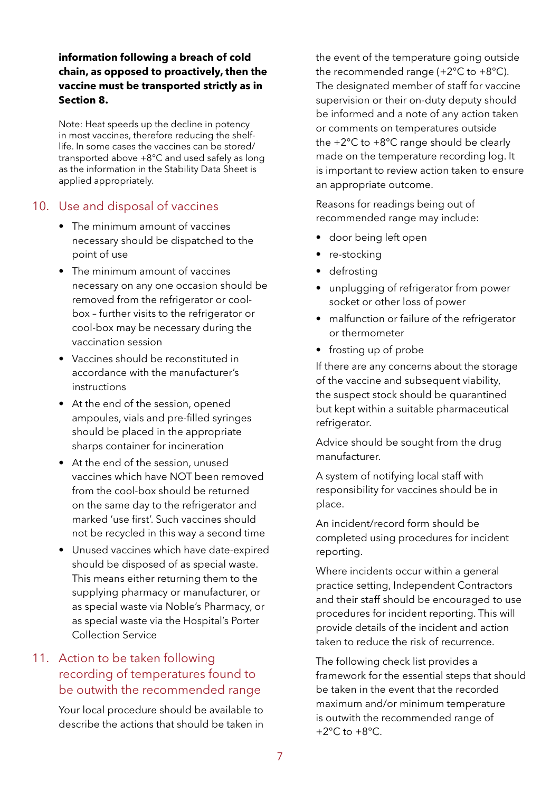## **information following a breach of cold chain, as opposed to proactively, then the vaccine must be transported strictly as in Section 8.**

Note: Heat speeds up the decline in potency in most vaccines, therefore reducing the shelflife. In some cases the vaccines can be stored/ transported above +8°C and used safely as long as the information in the Stability Data Sheet is applied appropriately.

## 10. Use and disposal of vaccines

- The minimum amount of vaccines necessary should be dispatched to the point of use
- The minimum amount of vaccines necessary on any one occasion should be removed from the refrigerator or coolbox – further visits to the refrigerator or cool-box may be necessary during the vaccination session
- Vaccines should be reconstituted in accordance with the manufacturer's instructions
- At the end of the session, opened ampoules, vials and pre-filled syringes should be placed in the appropriate sharps container for incineration
- At the end of the session, unused vaccines which have NOT been removed from the cool-box should be returned on the same day to the refrigerator and marked 'use first'. Such vaccines should not be recycled in this way a second time
- Unused vaccines which have date-expired should be disposed of as special waste. This means either returning them to the supplying pharmacy or manufacturer, or as special waste via Noble's Pharmacy, or as special waste via the Hospital's Porter Collection Service

## 11. Action to be taken following recording of temperatures found to be outwith the recommended range

Your local procedure should be available to describe the actions that should be taken in

the event of the temperature going outside the recommended range  $(+2^{\circ}C \text{ to } +8^{\circ}C)$ . The designated member of staff for vaccine supervision or their on-duty deputy should be informed and a note of any action taken or comments on temperatures outside the +2°C to +8°C range should be clearly made on the temperature recording log. It is important to review action taken to ensure an appropriate outcome.

Reasons for readings being out of recommended range may include:

- door being left open
- re-stocking
- defrosting
- unplugging of refrigerator from power socket or other loss of power
- malfunction or failure of the refrigerator or thermometer
- frosting up of probe

If there are any concerns about the storage of the vaccine and subsequent viability, the suspect stock should be quarantined but kept within a suitable pharmaceutical refrigerator.

Advice should be sought from the drug manufacturer.

A system of notifying local staff with responsibility for vaccines should be in place.

An incident/record form should be completed using procedures for incident reporting.

Where incidents occur within a general practice setting, Independent Contractors and their staff should be encouraged to use procedures for incident reporting. This will provide details of the incident and action taken to reduce the risk of recurrence.

The following check list provides a framework for the essential steps that should be taken in the event that the recorded maximum and/or minimum temperature is outwith the recommended range of  $+2^{\circ}$ C to  $+8^{\circ}$ C.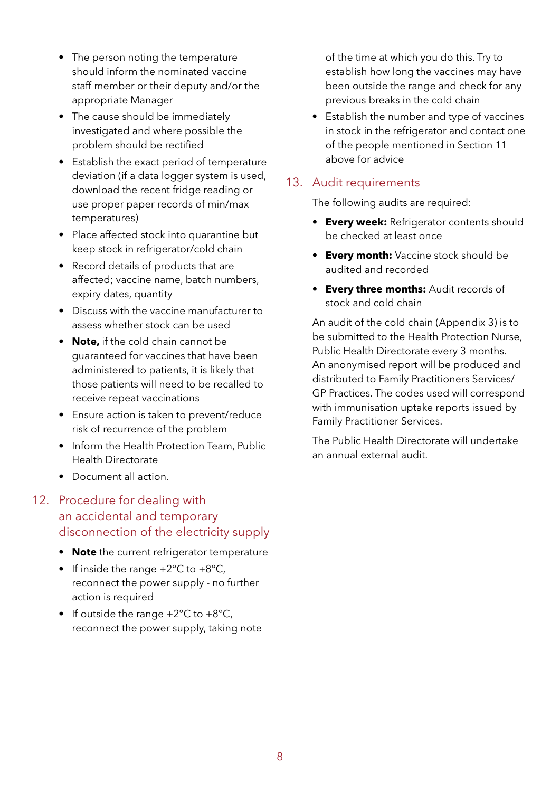- The person noting the temperature should inform the nominated vaccine staff member or their deputy and/or the appropriate Manager
- The cause should be immediately investigated and where possible the problem should be rectified
- Establish the exact period of temperature deviation (if a data logger system is used, download the recent fridge reading or use proper paper records of min/max temperatures)
- Place affected stock into quarantine but keep stock in refrigerator/cold chain
- Record details of products that are affected; vaccine name, batch numbers, expiry dates, quantity
- Discuss with the vaccine manufacturer to assess whether stock can be used
- **Note,** if the cold chain cannot be guaranteed for vaccines that have been administered to patients, it is likely that those patients will need to be recalled to receive repeat vaccinations
- Ensure action is taken to prevent/reduce risk of recurrence of the problem
- Inform the Health Protection Team, Public Health Directorate
- Document all action.

## 12. Procedure for dealing with an accidental and temporary disconnection of the electricity supply

- **Note** the current refrigerator temperature
- If inside the range  $+2^{\circ}$ C to  $+8^{\circ}$ C, reconnect the power supply - no further action is required
- If outside the range  $+2^{\circ}C$  to  $+8^{\circ}C$ , reconnect the power supply, taking note

of the time at which you do this. Try to establish how long the vaccines may have been outside the range and check for any previous breaks in the cold chain

• Establish the number and type of vaccines in stock in the refrigerator and contact one of the people mentioned in Section 11 above for advice

## 13. Audit requirements

The following audits are required:

- **Every week:** Refrigerator contents should be checked at least once
- **Every month:** Vaccine stock should be audited and recorded
- **Every three months:** Audit records of stock and cold chain

An audit of the cold chain (Appendix 3) is to be submitted to the Health Protection Nurse, Public Health Directorate every 3 months. An anonymised report will be produced and distributed to Family Practitioners Services/ GP Practices. The codes used will correspond with immunisation uptake reports issued by Family Practitioner Services.

The Public Health Directorate will undertake an annual external audit.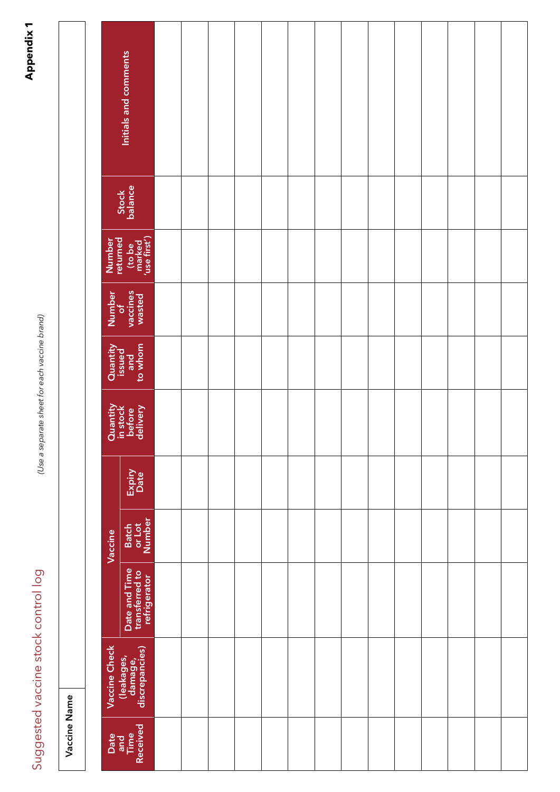# Suggested vaccine stock control log *(Use a separate sheet for each vaccine brand)*Suggested vaccine stock control log

Vaccine Name

Vaccine Name

|                    | Initials and comments                           |  |  |  |  |  |  |  |
|--------------------|-------------------------------------------------|--|--|--|--|--|--|--|
|                    | Stock<br>balance                                |  |  |  |  |  |  |  |
| Number<br>returned | (to be<br>marked<br>'use first')                |  |  |  |  |  |  |  |
|                    | Number<br>of<br>vaccines<br>wasted              |  |  |  |  |  |  |  |
|                    | Quantity<br>issued<br>and<br>to whom            |  |  |  |  |  |  |  |
|                    | Quantity<br>in stock<br>before<br>delivery      |  |  |  |  |  |  |  |
|                    | Expiry<br>Date                                  |  |  |  |  |  |  |  |
| Vaccine            | Batch<br>or Lot<br>Number                       |  |  |  |  |  |  |  |
|                    | Date and Time<br>transferred to<br>refrigerator |  |  |  |  |  |  |  |
| Vaccine Check      | (leakages,<br>damage,<br>discrepancies)         |  |  |  |  |  |  |  |
|                    | Date<br>and<br>Time<br>Received                 |  |  |  |  |  |  |  |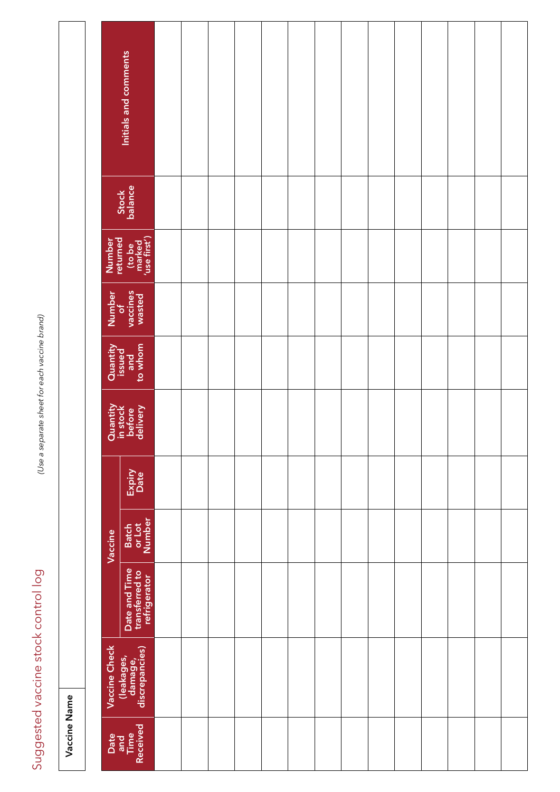# Suggested vaccine stock control log *(Use a separate sheet for each vaccine brand)*Suggested vaccine stock control log

|              |                    | Initials and comments                           |  |  |  |  |  |  |  |
|--------------|--------------------|-------------------------------------------------|--|--|--|--|--|--|--|
|              |                    | Stock<br>balance                                |  |  |  |  |  |  |  |
|              | Number<br>returned | (to be<br>marked<br>'use first')                |  |  |  |  |  |  |  |
|              | Number<br>of       | vaccines<br>wasted                              |  |  |  |  |  |  |  |
|              |                    | Quantity<br>issued<br>and<br>to whom            |  |  |  |  |  |  |  |
|              |                    | Quantity<br>in stock<br>before<br>delivery      |  |  |  |  |  |  |  |
|              |                    | Expiry<br>Date                                  |  |  |  |  |  |  |  |
|              | Vaccine            | Batch<br>or Lot<br>Number                       |  |  |  |  |  |  |  |
|              |                    | Date and Time<br>transferred to<br>refrigerator |  |  |  |  |  |  |  |
|              | Vaccine Check      | (leakages,<br>damage,<br>discrepancies)         |  |  |  |  |  |  |  |
| Vaccine Name |                    | Date<br>and<br>Time<br>Received                 |  |  |  |  |  |  |  |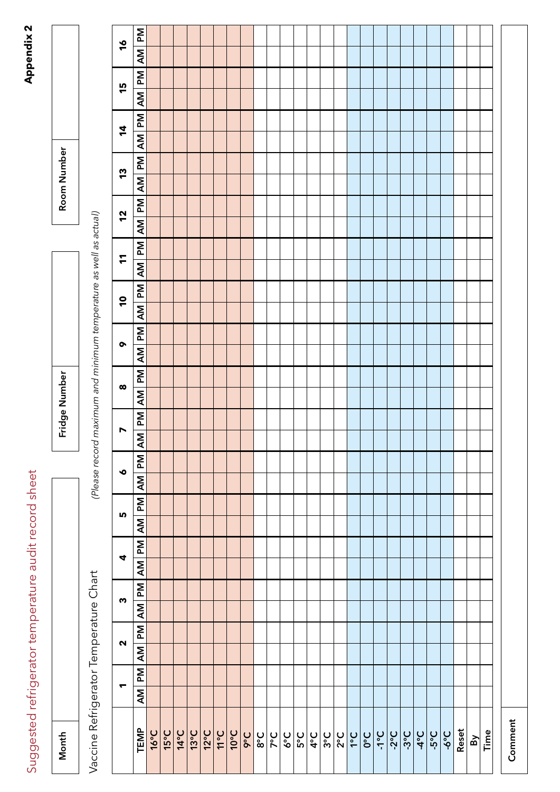# Suggested refrigerator temperature audit record sheet **Appendix 2** Suggested refrigerator temperature audit record sheet

| ¢      |
|--------|
| ì<br>г |
| ĩ      |
|        |
|        |
|        |

| Month                                            |                             |                   |              |                             |           |                      |           |           |                                           |                         | Fridge Number |                       |                                                    |    |                               |              |    |                | Room Number |    |                 |   |    |               |    |
|--------------------------------------------------|-----------------------------|-------------------|--------------|-----------------------------|-----------|----------------------|-----------|-----------|-------------------------------------------|-------------------------|---------------|-----------------------|----------------------------------------------------|----|-------------------------------|--------------|----|----------------|-------------|----|-----------------|---|----|---------------|----|
| Vaccine Refrigerator Temperature Chart           |                             |                   |              |                             |           |                      |           |           | (Please record                            |                         |               |                       | maximum and minimum temperature as well as actual) |    |                               |              |    |                |             |    |                 |   |    |               |    |
|                                                  | $\blacktriangledown$        | $\mathbf{\Omega}$ |              | $\boldsymbol{\omega}$       |           | $\blacktriangleleft$ | LO.       |           | $\bullet$                                 | $\triangleright$        |               | $\boldsymbol{\infty}$ | $\bullet$                                          |    | $\overline{\phantom{0}}$      | $\mathbf{r}$ |    | 12             | 13          |    | $\overline{4}$  |   | 15 | $\frac{6}{5}$ |    |
| TEMP                                             | $M_{\text{d}}$<br><b>AM</b> | $\overline{M}$    | $\mathsf{M}$ | <b>PM</b><br>$\overline{M}$ | <b>AM</b> | $\mathbb{R}$         | <b>AM</b> | <b>Nd</b> | $\overline{P}$<br>$\overline{\mathsf{M}}$ | $\overline{\mathsf{M}}$ | Md            | <b>Nd</b><br>Μ        | ξ                                                  | Μd | Md<br>$\overline{\mathsf{M}}$ | <b>AM</b>    | Md | <b>Md</b><br>Μ | Μ           | Md | Md<br><b>AM</b> | Μ | Md | <b>AM</b>     | Μd |
| <b>16°C</b>                                      |                             |                   |              |                             |           |                      |           |           |                                           |                         |               |                       |                                                    |    |                               |              |    |                |             |    |                 |   |    |               |    |
| 15°C                                             |                             |                   |              |                             |           |                      |           |           |                                           |                         |               |                       |                                                    |    |                               |              |    |                |             |    |                 |   |    |               |    |
| <b>14°C</b>                                      |                             |                   |              |                             |           |                      |           |           |                                           |                         |               |                       |                                                    |    |                               |              |    |                |             |    |                 |   |    |               |    |
| $13^{\circ}$ C                                   |                             |                   |              |                             |           |                      |           |           |                                           |                         |               |                       |                                                    |    |                               |              |    |                |             |    |                 |   |    |               |    |
| $12^{\circ}$ C                                   |                             |                   |              |                             |           |                      |           |           |                                           |                         |               |                       |                                                    |    |                               |              |    |                |             |    |                 |   |    |               |    |
| 3°11                                             |                             |                   |              |                             |           |                      |           |           |                                           |                         |               |                       |                                                    |    |                               |              |    |                |             |    |                 |   |    |               |    |
| $10^{\circ}$ C                                   |                             |                   |              |                             |           |                      |           |           |                                           |                         |               |                       |                                                    |    |                               |              |    |                |             |    |                 |   |    |               |    |
| <b>OoC</b>                                       |                             |                   |              |                             |           |                      |           |           |                                           |                         |               |                       |                                                    |    |                               |              |    |                |             |    |                 |   |    |               |    |
| $3^{\circ}C$                                     |                             |                   |              |                             |           |                      |           |           |                                           |                         |               |                       |                                                    |    |                               |              |    |                |             |    |                 |   |    |               |    |
| $7^{\circ}C$                                     |                             |                   |              |                             |           |                      |           |           |                                           |                         |               |                       |                                                    |    |                               |              |    |                |             |    |                 |   |    |               |    |
| $5^{\circ}$                                      |                             |                   |              |                             |           |                      |           |           |                                           |                         |               |                       |                                                    |    |                               |              |    |                |             |    |                 |   |    |               |    |
| $5^{\circ}C$                                     |                             |                   |              |                             |           |                      |           |           |                                           |                         |               |                       |                                                    |    |                               |              |    |                |             |    |                 |   |    |               |    |
| $\left \frac{\mathsf{U}}{\mathsf{G}}\right $ ိ က |                             |                   |              |                             |           |                      |           |           |                                           |                         |               |                       |                                                    |    |                               |              |    |                |             |    |                 |   |    |               |    |
|                                                  |                             |                   |              |                             |           |                      |           |           |                                           |                         |               |                       |                                                    |    |                               |              |    |                |             |    |                 |   |    |               |    |
| $2^{\circ}C$                                     |                             |                   |              |                             |           |                      |           |           |                                           |                         |               |                       |                                                    |    |                               |              |    |                |             |    |                 |   |    |               |    |
| $1^{\circ}C$                                     |                             |                   |              |                             |           |                      |           |           |                                           |                         |               |                       |                                                    |    |                               |              |    |                |             |    |                 |   |    |               |    |
| O <sub>o</sub>                                   |                             |                   |              |                             |           |                      |           |           |                                           |                         |               |                       |                                                    |    |                               |              |    |                |             |    |                 |   |    |               |    |
| <b>JoL-</b>                                      |                             |                   |              |                             |           |                      |           |           |                                           |                         |               |                       |                                                    |    |                               |              |    |                |             |    |                 |   |    |               |    |
| $-2$ °C                                          |                             |                   |              |                             |           |                      |           |           |                                           |                         |               |                       |                                                    |    |                               |              |    |                |             |    |                 |   |    |               |    |
| $-3$ °C                                          |                             |                   |              |                             |           |                      |           |           |                                           |                         |               |                       |                                                    |    |                               |              |    |                |             |    |                 |   |    |               |    |
| $2^{\circ}$                                      |                             |                   |              |                             |           |                      |           |           |                                           |                         |               |                       |                                                    |    |                               |              |    |                |             |    |                 |   |    |               |    |
| -5°C                                             |                             |                   |              |                             |           |                      |           |           |                                           |                         |               |                       |                                                    |    |                               |              |    |                |             |    |                 |   |    |               |    |
| <b>J°9-</b>                                      |                             |                   |              |                             |           |                      |           |           |                                           |                         |               |                       |                                                    |    |                               |              |    |                |             |    |                 |   |    |               |    |
| Reset                                            |                             |                   |              |                             |           |                      |           |           |                                           |                         |               |                       |                                                    |    |                               |              |    |                |             |    |                 |   |    |               |    |
| $\mathbf{B}$                                     |                             |                   |              |                             |           |                      |           |           |                                           |                         |               |                       |                                                    |    |                               |              |    |                |             |    |                 |   |    |               |    |
| Time                                             |                             |                   |              |                             |           |                      |           |           |                                           |                         |               |                       |                                                    |    |                               |              |    |                |             |    |                 |   |    |               |    |
|                                                  |                             |                   |              |                             |           |                      |           |           |                                           |                         |               |                       |                                                    |    |                               |              |    |                |             |    |                 |   |    |               |    |
| Comment                                          |                             |                   |              |                             |           |                      |           |           |                                           |                         |               |                       |                                                    |    |                               |              |    |                |             |    |                 |   |    |               |    |
|                                                  |                             |                   |              |                             |           |                      |           |           |                                           |                         |               |                       |                                                    |    |                               |              |    |                |             |    |                 |   |    |               |    |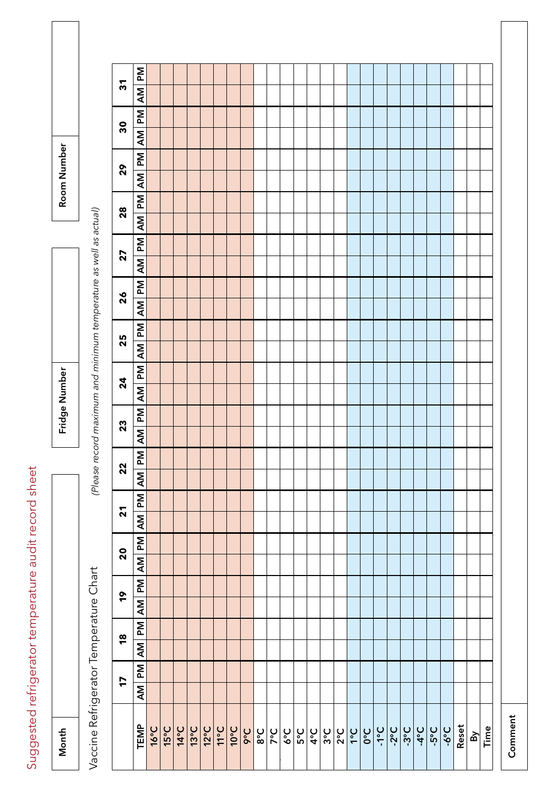Suggested refrigerator temperature audit record sheet Suggested refrigerator temperature audit record sheet

| Ē |  |
|---|--|

Fridge Number Fridge Number

Room Number Room Number

> Vaccine Refrigerator Temperature Chart Vaccine Refrigerator Temperature Chart

(Please record maximum and minimum temperature as well as actual) *(Please record maximum and minimum temperature as well as actual)*

| 17                        | AM PM<br><b>TEMP</b>                               | $16^{\circ}C$ | $15^{\circ}C$ | $14^{\circ}$ C | $13^{\circ}$ C | $12^{\circ}$ C | $J_0$ | $10^{\circ}$ C | boC | $3^{\circ}C$ | $2^{\circ}C$ | $5^{\circ}6$ | 5°C | $4^{\circ}C$ | $3^{\circ}C$ | $2^{\circ}C$ | $3^{\circ}$ | <b>O°C</b> | <b>J°C</b> | <u>ပ္ပံု</u> ပ္ပံ | $\left \frac{2}{2}$ | <b>C</b> -9- | Reset | $\mathbf{B}$ | Time |
|---------------------------|----------------------------------------------------|---------------|---------------|----------------|----------------|----------------|-------|----------------|-----|--------------|--------------|--------------|-----|--------------|--------------|--------------|-------------|------------|------------|-------------------|---------------------|--------------|-------|--------------|------|
| $\frac{8}{1}$             | AM PM                                              |               |               |                |                |                |       |                |     |              |              |              |     |              |              |              |             |            |            |                   |                     |              |       |              |      |
| <b>o</b>                  | AM PM                                              |               |               |                |                |                |       |                |     |              |              |              |     |              |              |              |             |            |            |                   |                     |              |       |              |      |
| $\boldsymbol{S}$          | PM <br>$\overline{\mathsf{M}}$                     |               |               |                |                |                |       |                |     |              |              |              |     |              |              |              |             |            |            |                   |                     |              |       |              |      |
| $\mathbf{z}$              | AM PM                                              |               |               |                |                |                |       |                |     |              |              |              |     |              |              |              |             |            |            |                   |                     |              |       |              |      |
| $\mathbf{z}$              | <b>Nd</b><br>$\overline{M}$                        |               |               |                |                |                |       |                |     |              |              |              |     |              |              |              |             |            |            |                   |                     |              |       |              |      |
| 23                        | $\overline{\mathsf{M}}$<br>$\overline{\mathsf{M}}$ |               |               |                |                |                |       |                |     |              |              |              |     |              |              |              |             |            |            |                   |                     |              |       |              |      |
| $\mathbf{z}$              | $M_{\text{d}}$<br>Μ                                |               |               |                |                |                |       |                |     |              |              |              |     |              |              |              |             |            |            |                   |                     |              |       |              |      |
| 25                        | $M_{\rm d}$<br>$\overline{\mathsf{M}}$             |               |               |                |                |                |       |                |     |              |              |              |     |              |              |              |             |            |            |                   |                     |              |       |              |      |
| 26                        | <b>Md</b><br>$\overline{\mathsf{M}}$               |               |               |                |                |                |       |                |     |              |              |              |     |              |              |              |             |            |            |                   |                     |              |       |              |      |
| 27                        | Md<br>$\overline{\mathsf{M}}$                      |               |               |                |                |                |       |                |     |              |              |              |     |              |              |              |             |            |            |                   |                     |              |       |              |      |
| 28                        | Md<br>ΑM                                           |               |               |                |                |                |       |                |     |              |              |              |     |              |              |              |             |            |            |                   |                     |              |       |              |      |
| 29                        | <b>Nd</b><br>Μ                                     |               |               |                |                |                |       |                |     |              |              |              |     |              |              |              |             |            |            |                   |                     |              |       |              |      |
| 30                        | Md<br>Μ                                            |               |               |                |                |                |       |                |     |              |              |              |     |              |              |              |             |            |            |                   |                     |              |       |              |      |
| $\overline{\mathfrak{c}}$ | Md<br>$\sum_{i=1}^{n}$                             |               |               |                |                |                |       |                |     |              |              |              |     |              |              |              |             |            |            |                   |                     |              |       |              |      |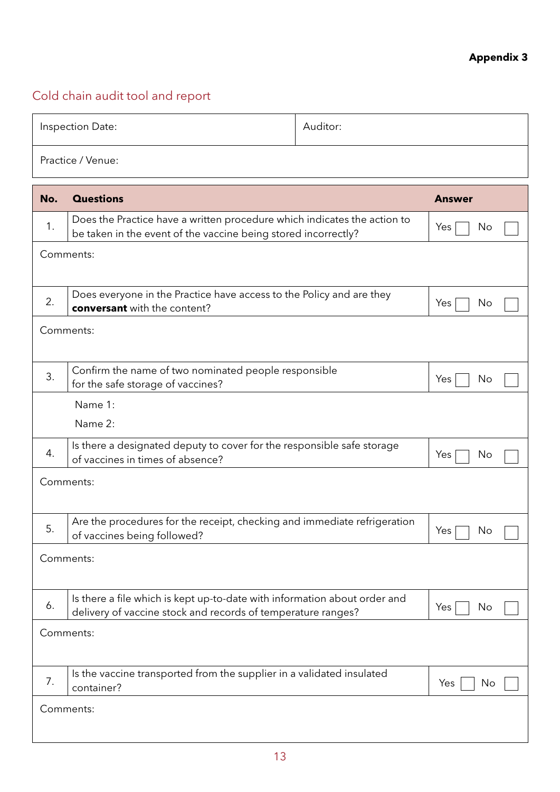## **Appendix 3**

## Cold chain audit tool and report

|     | Inspection Date:                                                                                                                           | Auditor: |               |
|-----|--------------------------------------------------------------------------------------------------------------------------------------------|----------|---------------|
|     | Practice / Venue:                                                                                                                          |          |               |
| No. | <b>Questions</b>                                                                                                                           |          | <b>Answer</b> |
| 1.  | Does the Practice have a written procedure which indicates the action to<br>be taken in the event of the vaccine being stored incorrectly? |          | Yes<br>No     |
|     | Comments:                                                                                                                                  |          |               |
| 2.  | Does everyone in the Practice have access to the Policy and are they<br><b>conversant</b> with the content?                                |          | No<br>Yes     |
|     | Comments:                                                                                                                                  |          |               |
| 3.  | Confirm the name of two nominated people responsible<br>for the safe storage of vaccines?                                                  |          | No<br>Yes     |
|     | Name 1:<br>Name 2:                                                                                                                         |          |               |
| 4.  | Is there a designated deputy to cover for the responsible safe storage<br>of vaccines in times of absence?                                 |          | Yes<br>No     |
|     | Comments:                                                                                                                                  |          |               |
| 5   | Are the procedures for the receipt, checking and immediate refrigeration<br>of vaccines being followed?                                    |          | Yes<br>No.    |
|     | Comments:                                                                                                                                  |          |               |
| 6.  | Is there a file which is kept up-to-date with information about order and<br>delivery of vaccine stock and records of temperature ranges?  |          | Yes<br>No     |
|     | Comments:                                                                                                                                  |          |               |
| 7.  | Is the vaccine transported from the supplier in a validated insulated<br>container?                                                        |          | No<br>Yes     |
|     | Comments:                                                                                                                                  |          |               |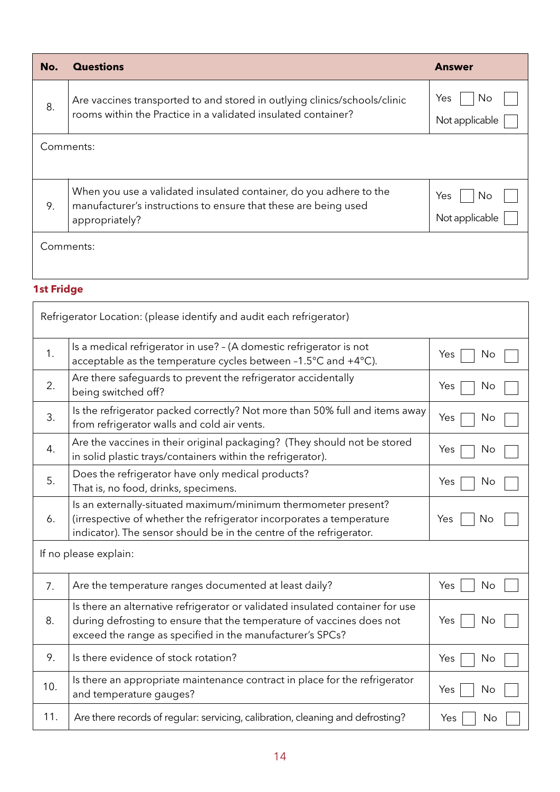| No. | <b>Questions</b>                                                                                                                                        | <b>Answer</b>               |
|-----|---------------------------------------------------------------------------------------------------------------------------------------------------------|-----------------------------|
| 8.  | Are vaccines transported to and stored in outlying clinics/schools/clinic<br>rooms within the Practice in a validated insulated container?              | Yes<br>No<br>Not applicable |
|     | Comments:                                                                                                                                               |                             |
| 9.  | When you use a validated insulated container, do you adhere to the<br>manufacturer's instructions to ensure that these are being used<br>appropriately? | Yes<br>No<br>Not applicable |
|     | Comments:                                                                                                                                               |                             |

## **1st Fridge**

|     | Refrigerator Location: (please identify and audit each refrigerator)                                                                                                                                                |           |
|-----|---------------------------------------------------------------------------------------------------------------------------------------------------------------------------------------------------------------------|-----------|
| 1.  | Is a medical refrigerator in use? - (A domestic refrigerator is not<br>acceptable as the temperature cycles between -1.5°C and +4°C).                                                                               | Yes<br>No |
| 2.  | Are there safeguards to prevent the refrigerator accidentally<br>being switched off?                                                                                                                                | Yes<br>No |
| 3.  | Is the refrigerator packed correctly? Not more than 50% full and items away<br>from refrigerator walls and cold air vents.                                                                                          | Yes<br>No |
| 4.  | Are the vaccines in their original packaging? (They should not be stored<br>in solid plastic trays/containers within the refrigerator).                                                                             | Yes<br>No |
| 5.  | Does the refrigerator have only medical products?<br>That is, no food, drinks, specimens.                                                                                                                           | Yes<br>No |
| 6.  | Is an externally-situated maximum/minimum thermometer present?<br>(irrespective of whether the refrigerator incorporates a temperature<br>indicator). The sensor should be in the centre of the refrigerator.       | Yes<br>No |
|     | If no please explain:                                                                                                                                                                                               |           |
| 7.  | Are the temperature ranges documented at least daily?                                                                                                                                                               | Yes<br>No |
| 8.  | Is there an alternative refrigerator or validated insulated container for use<br>during defrosting to ensure that the temperature of vaccines does not<br>exceed the range as specified in the manufacturer's SPCs? | Yes<br>No |
| 9.  | Is there evidence of stock rotation?                                                                                                                                                                                | Yes<br>No |
| 10. | Is there an appropriate maintenance contract in place for the refrigerator<br>and temperature gauges?                                                                                                               | Yes<br>No |
| 11. | Are there records of regular: servicing, calibration, cleaning and defrosting?                                                                                                                                      | Yes<br>No |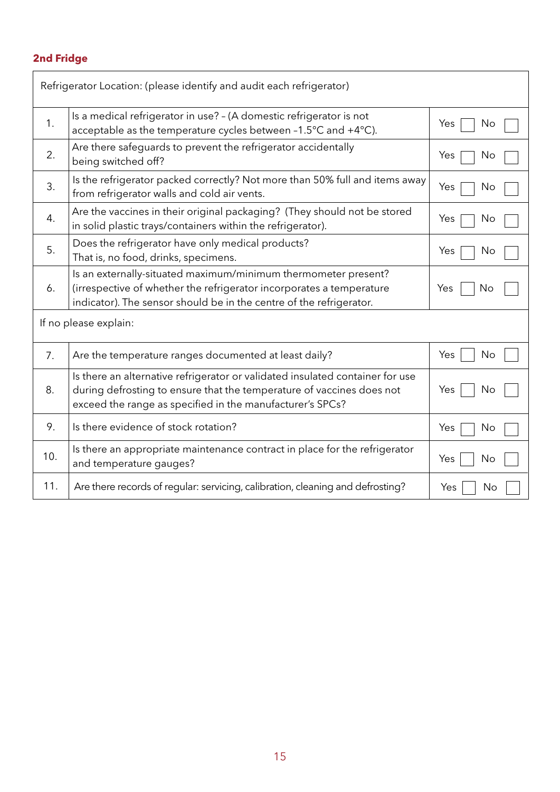## **2nd Fridge**

|     | Refrigerator Location: (please identify and audit each refrigerator)                                                                                                                                                |           |
|-----|---------------------------------------------------------------------------------------------------------------------------------------------------------------------------------------------------------------------|-----------|
| 1.  | Is a medical refrigerator in use? - (A domestic refrigerator is not<br>acceptable as the temperature cycles between -1.5°C and +4°C).                                                                               | Yes<br>No |
| 2.  | Are there safeguards to prevent the refrigerator accidentally<br>being switched off?                                                                                                                                | Yes<br>No |
| 3.  | Is the refrigerator packed correctly? Not more than 50% full and items away<br>from refrigerator walls and cold air vents.                                                                                          | Yes<br>No |
| 4.  | Are the vaccines in their original packaging? (They should not be stored<br>in solid plastic trays/containers within the refrigerator).                                                                             | Yes<br>No |
| 5.  | Does the refrigerator have only medical products?<br>That is, no food, drinks, specimens.                                                                                                                           | Yes<br>No |
| 6.  | Is an externally-situated maximum/minimum thermometer present?<br>(irrespective of whether the refrigerator incorporates a temperature<br>indicator). The sensor should be in the centre of the refrigerator.       | Yes<br>No |
|     | If no please explain:                                                                                                                                                                                               |           |
| 7.  | Are the temperature ranges documented at least daily?                                                                                                                                                               | No<br>Yes |
| 8.  | Is there an alternative refrigerator or validated insulated container for use<br>during defrosting to ensure that the temperature of vaccines does not<br>exceed the range as specified in the manufacturer's SPCs? | Yes<br>No |
| 9.  | Is there evidence of stock rotation?                                                                                                                                                                                | Yes<br>No |
| 10. | Is there an appropriate maintenance contract in place for the refrigerator<br>and temperature gauges?                                                                                                               | Yes<br>No |
| 11. | Are there records of regular: servicing, calibration, cleaning and defrosting?                                                                                                                                      | Yes<br>No |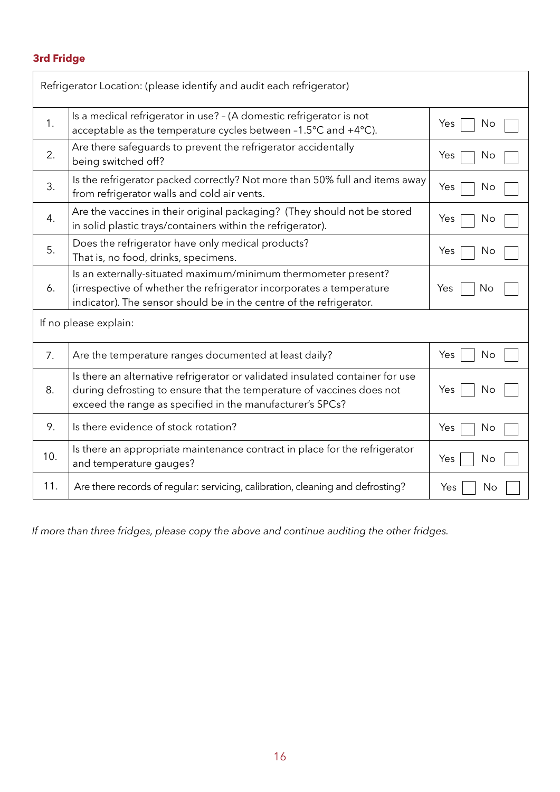## **3rd Fridge**

| Refrigerator Location: (please identify and audit each refrigerator) |                                                                                                                                                                                                                     |           |  |  |
|----------------------------------------------------------------------|---------------------------------------------------------------------------------------------------------------------------------------------------------------------------------------------------------------------|-----------|--|--|
| 1.                                                                   | Is a medical refrigerator in use? - (A domestic refrigerator is not<br>acceptable as the temperature cycles between -1.5°C and +4°C).                                                                               | Yes<br>No |  |  |
| 2.                                                                   | Are there safeguards to prevent the refrigerator accidentally<br>being switched off?                                                                                                                                | Yes<br>No |  |  |
| 3.                                                                   | Is the refrigerator packed correctly? Not more than 50% full and items away<br>from refrigerator walls and cold air vents.                                                                                          | Yes<br>No |  |  |
| 4.                                                                   | Are the vaccines in their original packaging? (They should not be stored<br>in solid plastic trays/containers within the refrigerator).                                                                             | Yes<br>No |  |  |
| 5.                                                                   | Does the refrigerator have only medical products?<br>That is, no food, drinks, specimens.                                                                                                                           | Yes<br>No |  |  |
| 6.                                                                   | Is an externally-situated maximum/minimum thermometer present?<br>(irrespective of whether the refrigerator incorporates a temperature<br>indicator). The sensor should be in the centre of the refrigerator.       | Yes<br>No |  |  |
| If no please explain:                                                |                                                                                                                                                                                                                     |           |  |  |
| 7.                                                                   | Are the temperature ranges documented at least daily?                                                                                                                                                               | Yes<br>No |  |  |
| 8.                                                                   | Is there an alternative refrigerator or validated insulated container for use<br>during defrosting to ensure that the temperature of vaccines does not<br>exceed the range as specified in the manufacturer's SPCs? | Yes<br>No |  |  |
| 9.                                                                   | Is there evidence of stock rotation?                                                                                                                                                                                | Yes<br>No |  |  |
| 10.                                                                  | Is there an appropriate maintenance contract in place for the refrigerator<br>and temperature gauges?                                                                                                               | Yes<br>No |  |  |
| 11.                                                                  | Are there records of regular: servicing, calibration, cleaning and defrosting?                                                                                                                                      | Yes<br>No |  |  |

*If more than three fridges, please copy the above and continue auditing the other fridges.*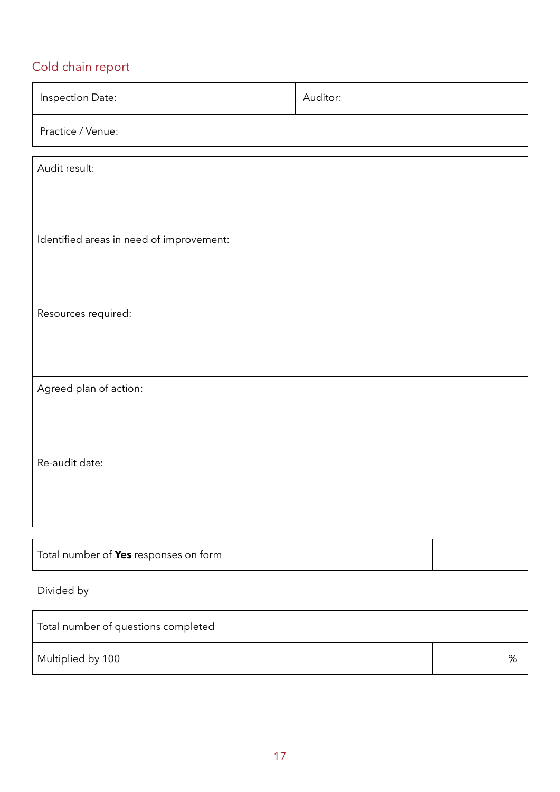## Cold chain report

| Inspection Date:                         | Auditor: |  |  |  |
|------------------------------------------|----------|--|--|--|
| Practice / Venue:                        |          |  |  |  |
| Audit result:                            |          |  |  |  |
|                                          |          |  |  |  |
| Identified areas in need of improvement: |          |  |  |  |
|                                          |          |  |  |  |
| Resources required:                      |          |  |  |  |
|                                          |          |  |  |  |
| Agreed plan of action:                   |          |  |  |  |
|                                          |          |  |  |  |
| Re-audit date:                           |          |  |  |  |
|                                          |          |  |  |  |
|                                          |          |  |  |  |
| Total number of Yes responses on form    |          |  |  |  |
| Divided by                               |          |  |  |  |

| Total number of questions completed |   |  |  |  |
|-------------------------------------|---|--|--|--|
| Multiplied by 100                   | % |  |  |  |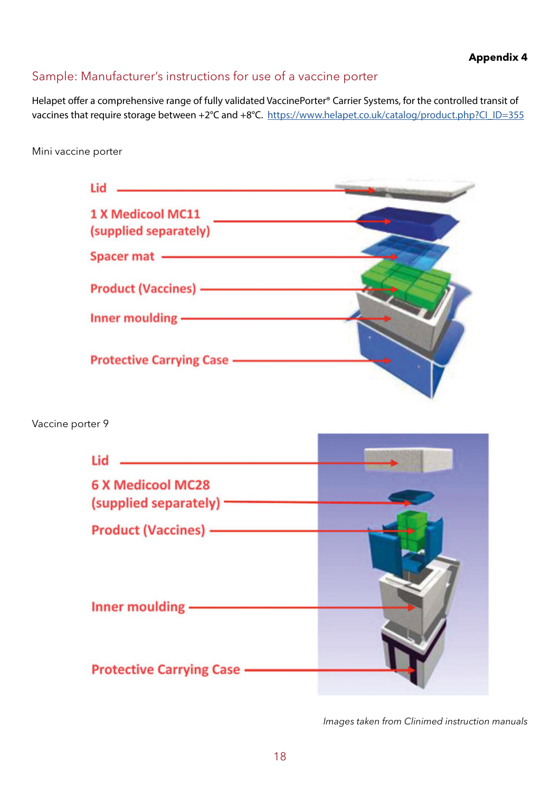## Sample: Manufacturer's instructions for use of a vaccine porter

Helapet offer a comprehensive range of fully validated VaccinePorter® Carrier Systems, for the controlled transit of vaccines that require storage between +2°C and +8°C. [https://www.helapet.co.uk/catalog/product.php?CI\\_ID=355](https://www.helapet.co.uk/catalog/product.php?CI_ID=355   )

### Mini vaccine porter

| Lid                               |  |
|-----------------------------------|--|
| 1 X Medicool MC11                 |  |
| (supplied separately)             |  |
| Spacer mat -                      |  |
| <b>Product (Vaccines) -</b>       |  |
| Inner moulding -                  |  |
| <b>Protective Carrying Case —</b> |  |

## Vaccine porter 9

| Lid                                                                                                                                                                                                                                  |  |
|--------------------------------------------------------------------------------------------------------------------------------------------------------------------------------------------------------------------------------------|--|
| <b>6 X Medicool MC28</b><br>(supplied separately) ·                                                                                                                                                                                  |  |
| <b>Product (Vaccines) - The Contract Contract Contract Contract Contract Contract Contract Contract Contract Contract Contract Contract Contract Contract Contract Contract Contract Contract Contract Contract Contract Contrac</b> |  |
|                                                                                                                                                                                                                                      |  |
| Inner moulding                                                                                                                                                                                                                       |  |
| <b>Protective Carrying Case</b>                                                                                                                                                                                                      |  |

*Images taken from Clinimed instruction manuals*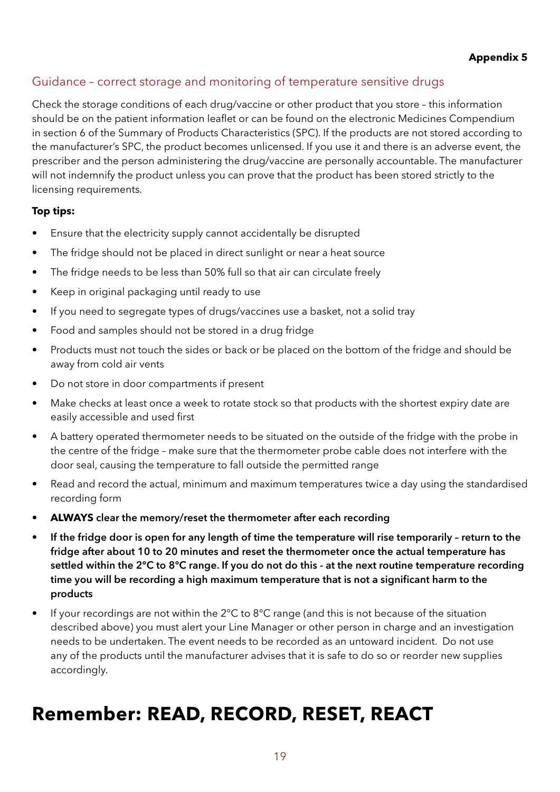## Guidance – correct storage and monitoring of temperature sensitive drugs

Check the storage conditions of each drug/vaccine or other product that you store – this information should be on the patient information leaflet or can be found on the electronic Medicines Compendium in section 6 of the Summary of Products Characteristics (SPC). If the products are not stored according to the manufacturer's SPC, the product becomes unlicensed. If you use it and there is an adverse event, the prescriber and the person administering the drug/vaccine are personally accountable. The manufacturer will not indemnify the product unless you can prove that the product has been stored strictly to the licensing requirements.

## **Top tips:**

- Ensure that the electricity supply cannot accidentally be disrupted
- The fridge should not be placed in direct sunlight or near a heat source
- The fridge needs to be less than 50% full so that air can circulate freely
- Keep in original packaging until ready to use
- If you need to segregate types of drugs/vaccines use a basket, not a solid tray
- Food and samples should not be stored in a drug fridge
- Products must not touch the sides or back or be placed on the bottom of the fridge and should be away from cold air vents
- Do not store in door compartments if present
- Make checks at least once a week to rotate stock so that products with the shortest expiry date are easily accessible and used first
- A battery operated thermometer needs to be situated on the outside of the fridge with the probe in the centre of the fridge – make sure that the thermometer probe cable does not interfere with the door seal, causing the temperature to fall outside the permitted range
- Read and record the actual, minimum and maximum temperatures twice a day using the standardised recording form
- **ALWAYS** clear the memory/reset the thermometer after each recording
- If the fridge door is open for any length of time the temperature will rise temporarily return to the fridge after about 10 to 20 minutes and reset the thermometer once the actual temperature has settled within the 2°C to 8°C range. If you do not do this - at the next routine temperature recording time you will be recording a high maximum temperature that is not a significant harm to the products
- If your recordings are not within the 2°C to 8°C range (and this is not because of the situation described above) you must alert your Line Manager or other person in charge and an investigation needs to be undertaken. The event needs to be recorded as an untoward incident. Do not use any of the products until the manufacturer advises that it is safe to do so or reorder new supplies accordingly.

## **Remember: READ, RECORD, RESET, REACT**